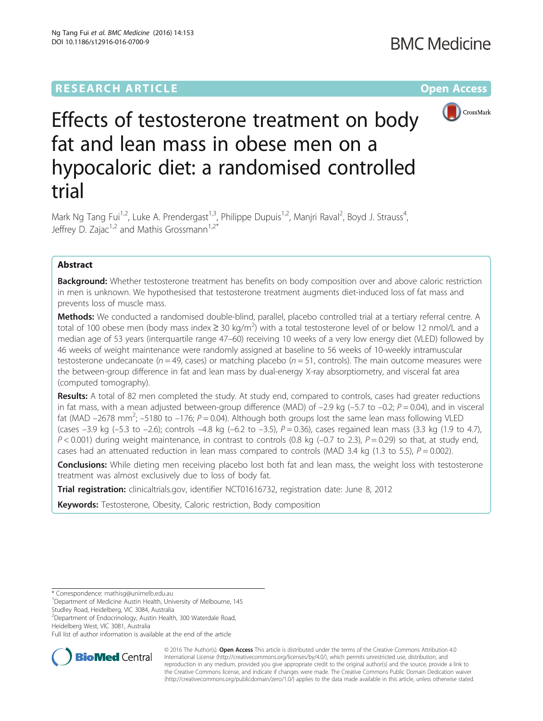

# Effects of testosterone treatment on body fat and lean mass in obese men on a hypocaloric diet: a randomised controlled trial

Mark Ng Tang Fui<sup>1,2</sup>, Luke A. Prendergast<sup>1,3</sup>, Philippe Dupuis<sup>1,2</sup>, Manjri Raval<sup>2</sup>, Boyd J. Strauss<sup>4</sup> , Jeffrey D. Zajac<sup>1,2</sup> and Mathis Grossmann<sup>1,2\*</sup>

# Abstract

**Background:** Whether testosterone treatment has benefits on body composition over and above caloric restriction in men is unknown. We hypothesised that testosterone treatment augments diet-induced loss of fat mass and prevents loss of muscle mass.

Methods: We conducted a randomised double-blind, parallel, placebo controlled trial at a tertiary referral centre. A total of 100 obese men (body mass index  $\geq$  30 kg/m<sup>2</sup>) with a total testosterone level of or below 12 nmol/L and a median age of 53 years (interquartile range 47–60) receiving 10 weeks of a very low energy diet (VLED) followed by 46 weeks of weight maintenance were randomly assigned at baseline to 56 weeks of 10-weekly intramuscular testosterone undecanoate ( $n = 49$ , cases) or matching placebo ( $n = 51$ , controls). The main outcome measures were the between-group difference in fat and lean mass by dual-energy X-ray absorptiometry, and visceral fat area (computed tomography).

Results: A total of 82 men completed the study. At study end, compared to controls, cases had greater reductions in fat mass, with a mean adjusted between-group difference (MAD) of  $-2.9$  kg ( $-5.7$  to  $-0.2$ ;  $P = 0.04$ ), and in visceral fat (MAD  $-2678$  mm<sup>2</sup>;  $-5180$  to  $-176$ ;  $P = 0.04$ ). Although both groups lost the same lean mass following VLED (cases  $-3.9$  kg ( $-5.3$  to  $-2.6$ ); controls  $-4.8$  kg ( $-6.2$  to  $-3.5$ ),  $P = 0.36$ ), cases regained lean mass (3.3 kg (1.9 to 4.7),  $P < 0.001$ ) during weight maintenance, in contrast to controls (0.8 kg (-0.7 to 2.3),  $P = 0.29$ ) so that, at study end, cases had an attenuated reduction in lean mass compared to controls (MAD 3.4 kg (1.3 to 5.5),  $P = 0.002$ ).

**Conclusions:** While dieting men receiving placebo lost both fat and lean mass, the weight loss with testosterone treatment was almost exclusively due to loss of body fat.

Trial registration: clinicaltrials.gov, identifier [NCT01616732](https://clinicaltrials.gov/ct2/show/NCT01616732), registration date: June 8, 2012

**Keywords:** Testosterone, Obesity, Caloric restriction, Body composition

Studley Road, Heidelberg, VIC 3084, Australia

2 Department of Endocrinology, Austin Health, 300 Waterdale Road, Heidelberg West, VIC 3081, Australia

Full list of author information is available at the end of the article



© 2016 The Author(s). Open Access This article is distributed under the terms of the Creative Commons Attribution 4.0 International License [\(http://creativecommons.org/licenses/by/4.0/](http://creativecommons.org/licenses/by/4.0/)), which permits unrestricted use, distribution, and reproduction in any medium, provided you give appropriate credit to the original author(s) and the source, provide a link to the Creative Commons license, and indicate if changes were made. The Creative Commons Public Domain Dedication waiver [\(http://creativecommons.org/publicdomain/zero/1.0/](http://creativecommons.org/publicdomain/zero/1.0/)) applies to the data made available in this article, unless otherwise stated.

<sup>\*</sup> Correspondence: [mathisg@unimelb.edu.au](mailto:mathisg@unimelb.edu.au) <sup>1</sup>

<sup>&</sup>lt;sup>1</sup>Department of Medicine Austin Health, University of Melbourne, 145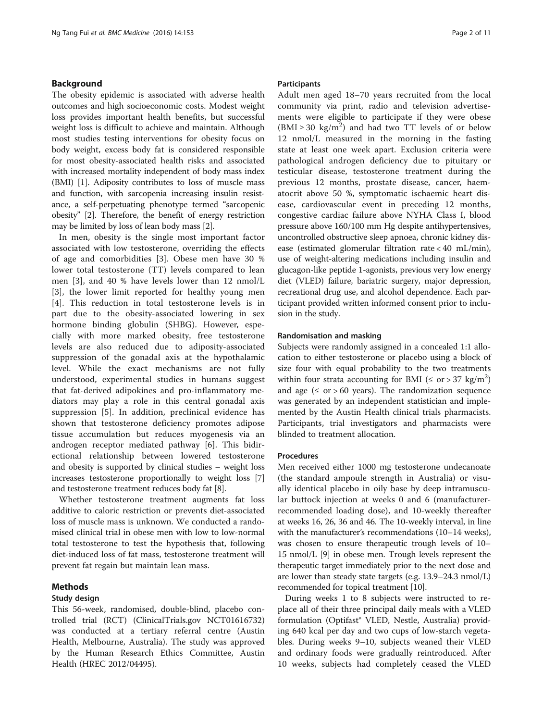# <span id="page-1-0"></span>Background

The obesity epidemic is associated with adverse health outcomes and high socioeconomic costs. Modest weight loss provides important health benefits, but successful weight loss is difficult to achieve and maintain. Although most studies testing interventions for obesity focus on body weight, excess body fat is considered responsible for most obesity-associated health risks and associated with increased mortality independent of body mass index (BMI) [\[1](#page-9-0)]. Adiposity contributes to loss of muscle mass and function, with sarcopenia increasing insulin resistance, a self-perpetuating phenotype termed "sarcopenic obesity" [[2\]](#page-9-0). Therefore, the benefit of energy restriction may be limited by loss of lean body mass [\[2](#page-9-0)].

In men, obesity is the single most important factor associated with low testosterone, overriding the effects of age and comorbidities [[3\]](#page-9-0). Obese men have 30 % lower total testosterone (TT) levels compared to lean men [[3\]](#page-9-0), and 40 % have levels lower than 12 nmol/L [[3\]](#page-9-0), the lower limit reported for healthy young men [[4\]](#page-9-0). This reduction in total testosterone levels is in part due to the obesity-associated lowering in sex hormone binding globulin (SHBG). However, especially with more marked obesity, free testosterone levels are also reduced due to adiposity-associated suppression of the gonadal axis at the hypothalamic level. While the exact mechanisms are not fully understood, experimental studies in humans suggest that fat-derived adipokines and pro-inflammatory mediators may play a role in this central gonadal axis suppression [[5\]](#page-9-0). In addition, preclinical evidence has shown that testosterone deficiency promotes adipose tissue accumulation but reduces myogenesis via an androgen receptor mediated pathway [[6\]](#page-9-0). This bidirectional relationship between lowered testosterone and obesity is supported by clinical studies – weight loss increases testosterone proportionally to weight loss [[7](#page-9-0)] and testosterone treatment reduces body fat [\[8](#page-9-0)].

Whether testosterone treatment augments fat loss additive to caloric restriction or prevents diet-associated loss of muscle mass is unknown. We conducted a randomised clinical trial in obese men with low to low-normal total testosterone to test the hypothesis that, following diet-induced loss of fat mass, testosterone treatment will prevent fat regain but maintain lean mass.

# Methods

# Study design

This 56-week, randomised, double-blind, placebo controlled trial (RCT) (ClinicalTrials.gov NCT01616732) was conducted at a tertiary referral centre (Austin Health, Melbourne, Australia). The study was approved by the Human Research Ethics Committee, Austin Health (HREC 2012/04495).

#### Participants

Adult men aged 18–70 years recruited from the local community via print, radio and television advertisements were eligible to participate if they were obese  $(BMI \ge 30 \text{ kg/m}^2)$  and had two TT levels of or below 12 nmol/L measured in the morning in the fasting state at least one week apart. Exclusion criteria were pathological androgen deficiency due to pituitary or testicular disease, testosterone treatment during the previous 12 months, prostate disease, cancer, haematocrit above 50 %, symptomatic ischaemic heart disease, cardiovascular event in preceding 12 months, congestive cardiac failure above NYHA Class I, blood pressure above 160/100 mm Hg despite antihypertensives, uncontrolled obstructive sleep apnoea, chronic kidney disease (estimated glomerular filtration rate < 40 mL/min), use of weight-altering medications including insulin and glucagon-like peptide 1-agonists, previous very low energy diet (VLED) failure, bariatric surgery, major depression, recreational drug use, and alcohol dependence. Each participant provided written informed consent prior to inclusion in the study.

#### Randomisation and masking

Subjects were randomly assigned in a concealed 1:1 allocation to either testosterone or placebo using a block of size four with equal probability to the two treatments within four strata accounting for BMI ( $\leq$  or > 37 kg/m<sup>2</sup>) and age  $(≤ or > 60 years)$ . The randomization sequence was generated by an independent statistician and implemented by the Austin Health clinical trials pharmacists. Participants, trial investigators and pharmacists were blinded to treatment allocation.

#### Procedures

Men received either 1000 mg testosterone undecanoate (the standard ampoule strength in Australia) or visually identical placebo in oily base by deep intramuscular buttock injection at weeks 0 and 6 (manufacturerrecommended loading dose), and 10-weekly thereafter at weeks 16, 26, 36 and 46. The 10-weekly interval, in line with the manufacturer's recommendations (10–14 weeks), was chosen to ensure therapeutic trough levels of 10– 15 nmol/L [\[9](#page-9-0)] in obese men. Trough levels represent the therapeutic target immediately prior to the next dose and are lower than steady state targets (e.g. 13.9–24.3 nmol/L) recommended for topical treatment [\[10](#page-9-0)].

During weeks 1 to 8 subjects were instructed to replace all of their three principal daily meals with a VLED formulation (Optifast® VLED, Nestle, Australia) providing 640 kcal per day and two cups of low-starch vegetables. During weeks 9–10, subjects weaned their VLED and ordinary foods were gradually reintroduced. After 10 weeks, subjects had completely ceased the VLED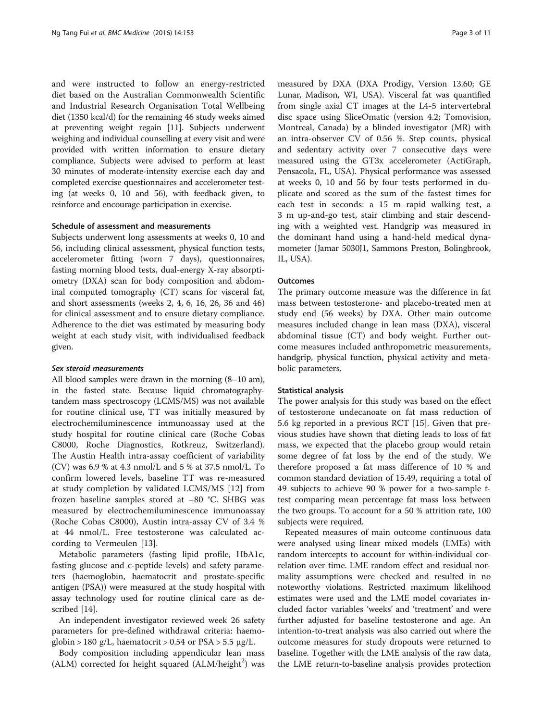and were instructed to follow an energy-restricted diet based on the Australian Commonwealth Scientific and Industrial Research Organisation Total Wellbeing diet (1350 kcal/d) for the remaining 46 study weeks aimed at preventing weight regain [[11](#page-9-0)]. Subjects underwent weighing and individual counselling at every visit and were provided with written information to ensure dietary compliance. Subjects were advised to perform at least 30 minutes of moderate-intensity exercise each day and completed exercise questionnaires and accelerometer testing (at weeks 0, 10 and 56), with feedback given, to reinforce and encourage participation in exercise.

#### Schedule of assessment and measurements

Subjects underwent long assessments at weeks 0, 10 and 56, including clinical assessment, physical function tests, accelerometer fitting (worn 7 days), questionnaires, fasting morning blood tests, dual-energy X-ray absorptiometry (DXA) scan for body composition and abdominal computed tomography (CT) scans for visceral fat, and short assessments (weeks 2, 4, 6, 16, 26, 36 and 46) for clinical assessment and to ensure dietary compliance. Adherence to the diet was estimated by measuring body weight at each study visit, with individualised feedback given.

### Sex steroid measurements

All blood samples were drawn in the morning (8–10 am), in the fasted state. Because liquid chromatographytandem mass spectroscopy (LCMS/MS) was not available for routine clinical use, TT was initially measured by electrochemiluminescence immunoassay used at the study hospital for routine clinical care (Roche Cobas C8000, Roche Diagnostics, Rotkreuz, Switzerland). The Austin Health intra-assay coefficient of variability (CV) was 6.9 % at 4.3 nmol/L and 5 % at 37.5 nmol/L. To confirm lowered levels, baseline TT was re-measured at study completion by validated LCMS/MS [\[12](#page-9-0)] from frozen baseline samples stored at –80 °C. SHBG was measured by electrochemiluminescence immunoassay (Roche Cobas C8000), Austin intra-assay CV of 3.4 % at 44 nmol/L. Free testosterone was calculated according to Vermeulen [[13\]](#page-9-0).

Metabolic parameters (fasting lipid profile, HbA1c, fasting glucose and c-peptide levels) and safety parameters (haemoglobin, haematocrit and prostate-specific antigen (PSA)) were measured at the study hospital with assay technology used for routine clinical care as described [[14\]](#page-9-0).

An independent investigator reviewed week 26 safety parameters for pre-defined withdrawal criteria: haemoglobin > 180 g/L, haematocrit > 0.54 or  $PSA > 5.5 \mu g/L$ .

Body composition including appendicular lean mass  $(ALM)$  corrected for height squared  $(ALM/height<sup>2</sup>)$  was

measured by DXA (DXA Prodigy, Version 13.60; GE Lunar, Madison, WI, USA). Visceral fat was quantified from single axial CT images at the L4-5 intervertebral disc space using SliceOmatic (version 4.2; Tomovision, Montreal, Canada) by a blinded investigator (MR) with an intra-observer CV of 0.56 %. Step counts, physical and sedentary activity over 7 consecutive days were measured using the GT3x accelerometer (ActiGraph, Pensacola, FL, USA). Physical performance was assessed at weeks 0, 10 and 56 by four tests performed in duplicate and scored as the sum of the fastest times for each test in seconds: a 15 m rapid walking test, a 3 m up-and-go test, stair climbing and stair descending with a weighted vest. Handgrip was measured in the dominant hand using a hand-held medical dynamometer (Jamar 5030J1, Sammons Preston, Bolingbrook, IL, USA).

### **Outcomes**

The primary outcome measure was the difference in fat mass between testosterone- and placebo-treated men at study end (56 weeks) by DXA. Other main outcome measures included change in lean mass (DXA), visceral abdominal tissue (CT) and body weight. Further outcome measures included anthropometric measurements, handgrip, physical function, physical activity and metabolic parameters.

#### Statistical analysis

The power analysis for this study was based on the effect of testosterone undecanoate on fat mass reduction of 5.6 kg reported in a previous RCT [[15\]](#page-9-0). Given that previous studies have shown that dieting leads to loss of fat mass, we expected that the placebo group would retain some degree of fat loss by the end of the study. We therefore proposed a fat mass difference of 10 % and common standard deviation of 15.49, requiring a total of 49 subjects to achieve 90 % power for a two-sample ttest comparing mean percentage fat mass loss between the two groups. To account for a 50 % attrition rate, 100 subjects were required.

Repeated measures of main outcome continuous data were analysed using linear mixed models (LMEs) with random intercepts to account for within-individual correlation over time. LME random effect and residual normality assumptions were checked and resulted in no noteworthy violations. Restricted maximum likelihood estimates were used and the LME model covariates included factor variables 'weeks' and 'treatment' and were further adjusted for baseline testosterone and age. An intention-to-treat analysis was also carried out where the outcome measures for study dropouts were returned to baseline. Together with the LME analysis of the raw data, the LME return-to-baseline analysis provides protection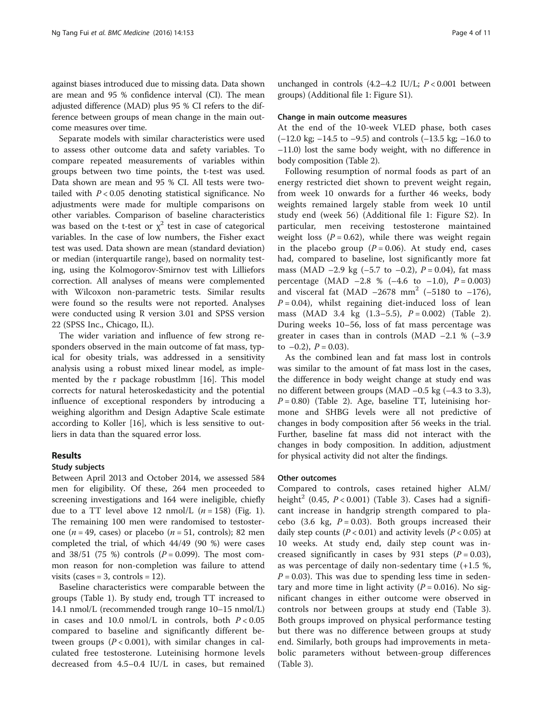against biases introduced due to missing data. Data shown are mean and 95 % confidence interval (CI). The mean adjusted difference (MAD) plus 95 % CI refers to the difference between groups of mean change in the main outcome measures over time.

Separate models with similar characteristics were used to assess other outcome data and safety variables. To compare repeated measurements of variables within groups between two time points, the t-test was used. Data shown are mean and 95 % CI. All tests were twotailed with  $P < 0.05$  denoting statistical significance. No adjustments were made for multiple comparisons on other variables. Comparison of baseline characteristics was based on the t-test or  $\chi^2$  test in case of categorical variables. In the case of low numbers, the Fisher exact test was used. Data shown are mean (standard deviation) or median (interquartile range), based on normality testing, using the Kolmogorov-Smirnov test with Lilliefors correction. All analyses of means were complemented with Wilcoxon non-parametric tests. Similar results were found so the results were not reported. Analyses were conducted using R version 3.01 and SPSS version 22 (SPSS Inc., Chicago, IL).

The wider variation and influence of few strong responders observed in the main outcome of fat mass, typical for obesity trials, was addressed in a sensitivity analysis using a robust mixed linear model, as implemented by the r package robustlmm [\[16](#page-9-0)]. This model corrects for natural heteroskedasticity and the potential influence of exceptional responders by introducing a weighing algorithm and Design Adaptive Scale estimate according to Koller [\[16](#page-9-0)], which is less sensitive to outliers in data than the squared error loss.

# Results

# Study subjects

Between April 2013 and October 2014, we assessed 584 men for eligibility. Of these, 264 men proceeded to screening investigations and 164 were ineligible, chiefly due to a TT level above [1](#page-4-0)2 nmol/L  $(n = 158)$  (Fig. 1). The remaining 100 men were randomised to testosterone ( $n = 49$ , cases) or placebo ( $n = 51$ , controls); 82 men completed the trial, of which 44/49 (90 %) were cases and 38/51 (75 %) controls ( $P = 0.099$ ). The most common reason for non-completion was failure to attend visits (cases  $=$  3, controls  $=$  12).

Baseline characteristics were comparable between the groups (Table [1\)](#page-5-0). By study end, trough TT increased to 14.1 nmol/L (recommended trough range 10–15 nmol/L) in cases and 10.0 nmol/L in controls, both  $P < 0.05$ compared to baseline and significantly different between groups ( $P < 0.001$ ), with similar changes in calculated free testosterone. Luteinising hormone levels decreased from 4.5–0.4 IU/L in cases, but remained unchanged in controls  $(4.2-4.2 \text{ IU/L}; P < 0.001 \text{ between}$ groups) (Additional file [1](#page-8-0): Figure S1).

#### Change in main outcome measures

At the end of the 10-week VLED phase, both cases  $(-12.0 \text{ kg}; -14.5 \text{ to } -9.5)$  and controls  $(-13.5 \text{ kg}; -16.0 \text{ to }$ –11.0) lost the same body weight, with no difference in body composition (Table [2](#page-6-0)).

Following resumption of normal foods as part of an energy restricted diet shown to prevent weight regain, from week 10 onwards for a further 46 weeks, body weights remained largely stable from week 10 until study end (week 56) (Additional file [1](#page-8-0): Figure S2). In particular, men receiving testosterone maintained weight loss  $(P = 0.62)$ , while there was weight regain in the placebo group ( $P = 0.06$ ). At study end, cases had, compared to baseline, lost significantly more fat mass (MAD –2.9 kg (–5.7 to –0.2),  $P = 0.04$ ), fat mass percentage (MAD  $-2.8 \% (-4.6 \text{ to } -1.0), P = 0.003$ ) and visceral fat (MAD  $-2678$  mm<sup>2</sup> ( $-5180$  to  $-176$ ),  $P = 0.04$ ), whilst regaining diet-induced loss of lean mass (MAD 3.4 kg  $(1.3-5.5)$ ,  $P = 0.002$ ) (Table [2](#page-6-0)). During weeks 10–56, loss of fat mass percentage was greater in cases than in controls (MAD  $-2.1$  %  $(-3.9)$ to  $-0.2$ ),  $P = 0.03$ ).

As the combined lean and fat mass lost in controls was similar to the amount of fat mass lost in the cases, the difference in body weight change at study end was no different between groups (MAD –0.5 kg (–4.3 to 3.3),  $P = 0.80$ ) (Table [2](#page-6-0)). Age, baseline TT, luteinising hormone and SHBG levels were all not predictive of changes in body composition after 56 weeks in the trial. Further, baseline fat mass did not interact with the changes in body composition. In addition, adjustment for physical activity did not alter the findings.

# Other outcomes

Compared to controls, cases retained higher ALM/ height<sup>2</sup> (0.45,  $P < 0.001$ ) (Table [3\)](#page-7-0). Cases had a significant increase in handgrip strength compared to placebo (3.6 kg,  $P = 0.03$ ). Both groups increased their daily step counts ( $P < 0.01$ ) and activity levels ( $P < 0.05$ ) at 10 weeks. At study end, daily step count was increased significantly in cases by 931 steps  $(P = 0.03)$ , as was percentage of daily non-sedentary time (+1.5 %,  $P = 0.03$ ). This was due to spending less time in sedentary and more time in light activity  $(P = 0.016)$ . No significant changes in either outcome were observed in controls nor between groups at study end (Table [3](#page-7-0)). Both groups improved on physical performance testing but there was no difference between groups at study end. Similarly, both groups had improvements in metabolic parameters without between-group differences (Table [3](#page-7-0)).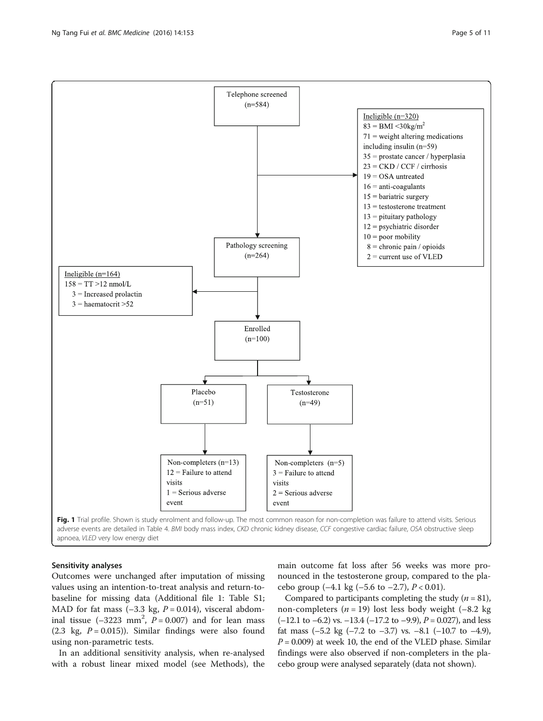<span id="page-4-0"></span>

### Sensitivity analyses

Outcomes were unchanged after imputation of missing values using an intention-to-treat analysis and return-tobaseline for missing data (Additional file [1:](#page-8-0) Table S1; MAD for fat mass  $(-3.3 \text{ kg}, P = 0.014)$ , visceral abdominal tissue  $(-3223 \text{ mm}^2, P = 0.007)$  and for lean mass (2.3 kg,  $P = 0.015$ )). Similar findings were also found using non-parametric tests.

In an additional sensitivity analysis, when re-analysed with a robust linear mixed model (see [Methods](#page-1-0)), the main outcome fat loss after 56 weeks was more pronounced in the testosterone group, compared to the placebo group  $(-4.1 \text{ kg } (-5.6 \text{ to } -2.7), P < 0.01)$ .

Compared to participants completing the study  $(n = 81)$ , non-completers ( $n = 19$ ) lost less body weight (-8.2 kg)  $(-12.1 \text{ to } -6.2) \text{ vs. } -13.4 (-17.2 \text{ to } -9.9), P = 0.027)$ , and less fat mass  $(-5.2 \text{ kg } (-7.2 \text{ to } -3.7) \text{ vs. } -8.1 (-10.7 \text{ to } -4.9),$  $P = 0.009$ ) at week 10, the end of the VLED phase. Similar findings were also observed if non-completers in the placebo group were analysed separately (data not shown).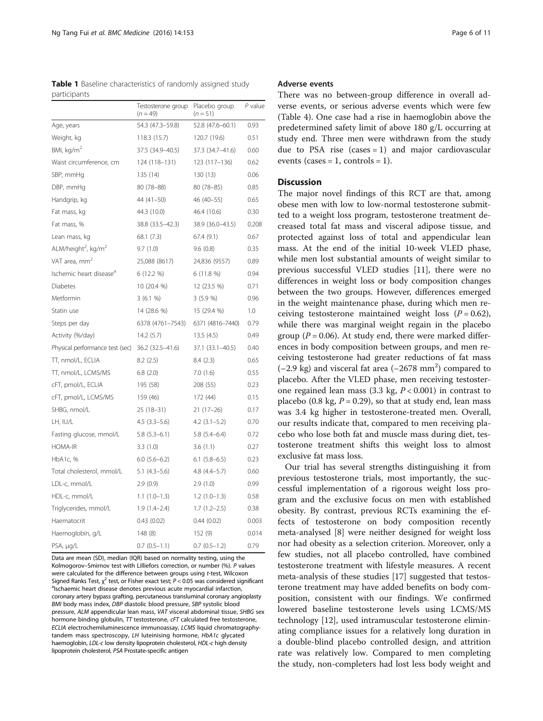<span id="page-5-0"></span>

|              | <b>Table 1</b> Baseline characteristics of randomly assigned study |  |  |
|--------------|--------------------------------------------------------------------|--|--|
| participants |                                                                    |  |  |

|                                             | Testosterone group<br>$(n = 49)$ | Placebo group<br>$(n = 51)$ | P value |
|---------------------------------------------|----------------------------------|-----------------------------|---------|
| Age, years                                  | 54.3 (47.3-59.8)                 | 52.8 (47.6-60.1)            | 0.93    |
| Weight, kg                                  | 118.3 (15.7)                     | 120.7 (19.6)                | 0.51    |
| BMI, $\text{kg/m}^2$                        | 37.5 (34.9-40.5)                 | 37.3 (34.7-41.6)            | 0.60    |
| Waist circumference, cm                     | 124 (118-131)                    | 123 (117-136)               | 0.62    |
| SBP, mmHg                                   | 135 (14)                         | 130 (13)                    | 0.06    |
| DBP, mmHg                                   | 80 (78-88)                       | 80 (78–85)                  | 0.85    |
| Handgrip, kg                                | $44(41-50)$                      | 46 (40-55)                  | 0.65    |
| Fat mass, kg                                | 44.3 (10.0)                      | 46.4 (10.6)                 | 0.30    |
| Fat mass, %                                 | 38.8 (33.5-42.3)                 | 38.9 (36.0-43.5)            | 0.208   |
| Lean mass, kg                               | 68.1 (7.3)                       | 67.4 (9.1)                  | 0.67    |
| ALM/height <sup>2</sup> , kg/m <sup>2</sup> | 9.7(1.0)                         | 9.6(0.8)                    | 0.35    |
| VAT area, mm <sup>2</sup>                   | 25,088 (8617)                    | 24,836 (9557)               | 0.89    |
| Ischemic heart disease <sup>a</sup>         | 6 (12.2 %)                       | 6 (11.8 %)                  | 0.94    |
| <b>Diabetes</b>                             | 10 (20.4 %)                      | 12 (23.5 %)                 | 0.71    |
| Metformin                                   | 3(6.1%                           | 3(5.9%                      | 0.96    |
| Statin use                                  | 14 (28.6 %)                      | 15 (29.4 %)                 | 1.0     |
| Steps per day                               | 6378 (4761-7543)                 | 6371 (4816-7440)            | 0.79    |
| Activity (%/day)                            | 14.2(5.7)                        | 13.5(4.5)                   | 0.49    |
| Physical performance test (sec)             | 36.2 (32.5-41.6)                 | 37.1 (33.1-40.5)            | 0.40    |
| TT, nmol/L, ECLIA                           | 8.2(2.5)                         | 8.4(2.3)                    | 0.65    |
| TT, nmol/L, LCMS/MS                         | 6.8(2.0)                         | 7.0(1.6)                    | 0.55    |
| cFT, pmol/L, ECLIA                          | 195 (58)                         | 208 (55)                    | 0.23    |
| cFT, pmol/L, LCMS/MS                        | 159 (46)                         | 172 (44)                    | 0.15    |
| SHBG, nmol/L                                | $25(18-31)$                      | $21(17-26)$                 | 0.17    |
| LH, IU/L                                    | $4.5(3.3-5.6)$                   | $4.2$ $(3.1 - 5.2)$         | 0.70    |
| Fasting glucose, mmol/L                     | $5.8(5.3-6.1)$                   | $5.8(5.4 - 6.4)$            | 0.72    |
| <b>HOMA-IR</b>                              | 3.3(1.0)                         | 3.6(1.1)                    | 0.27    |
| HbA1c, %                                    | $6.0$ (5.6-6.2)                  | $6.1$ (5.8-6.5)             | 0.23    |
| Total cholesterol, mmol/L                   | $5.1(4.3-5.6)$                   | $4.8(4.4 - 5.7)$            | 0.60    |
| LDL-c, mmol/L                               | 2.9(0.9)                         | 2.9(1.0)                    | 0.99    |
| HDL-c, mmol/L                               | $1.1(1.0-1.3)$                   | $1.2(1.0-1.3)$              | 0.58    |
| Triglycerides, mmol/L                       | $1.9(1.4-2.4)$                   | $1.7(1.2-2.5)$              | 0.38    |
| Haematocrit                                 | 0.43(0.02)                       | 0.44(0.02)                  | 0.003   |
| Haemoglobin, g/L                            | 148 (8)                          | 152 (9)                     | 0.014   |
| PSA, µg/L                                   | $0.7(0.5-1.1)$                   | $0.7$ $(0.5-1.2)$           | 0.79    |

Data are mean (SD), median (IQR) based on normality testing, using the Kolmogorov–Smirnov test with Lilliefors correction, or number (%). P values were calculated for the difference between groups using t-test, Wilcoxon Signed Ranks Test,  $\chi^2$  test, or Fisher exact test;  $P < 0.05$  was considered significant  $\frac{a_{\text{I}}}{2}$ <sup>a</sup>lschaemic heart disease denotes previous acute myocardial infarction, coronary artery bypass grafting, percutaneous transluminal coronary angioplasty BMI body mass index, DBP diastolic blood pressure, SBP systolic blood pressure, ALM appendicular lean mass, VAT visceral abdominal tissue, SHBG sex hormone binding globulin,  $TT$  testosterone,  $cFT$  calculated free testosterone, ECLIA electrochemiluminescence immunoassay, LCMS liquid chromatographytandem mass spectroscopy, LH luteinising hormone, HbA1c glycated haemoglobin, LDL-c low density lipoprotein cholesterol, HDL-c high density lipoprotein cholesterol, PSA Prostate-specific antigen

# Adverse events

There was no between-group difference in overall adverse events, or serious adverse events which were few (Table [4](#page-8-0)). One case had a rise in haemoglobin above the predetermined safety limit of above 180 g/L occurring at study end. Three men were withdrawn from the study due to PSA rise  $(cases = 1)$  and major cardiovascular events (cases = 1, controls = 1).

# **Discussion**

The major novel findings of this RCT are that, among obese men with low to low-normal testosterone submitted to a weight loss program, testosterone treatment decreased total fat mass and visceral adipose tissue, and protected against loss of total and appendicular lean mass. At the end of the initial 10-week VLED phase, while men lost substantial amounts of weight similar to previous successful VLED studies [\[11\]](#page-9-0), there were no differences in weight loss or body composition changes between the two groups. However, differences emerged in the weight maintenance phase, during which men receiving testosterone maintained weight loss  $(P = 0.62)$ , while there was marginal weight regain in the placebo group ( $P = 0.06$ ). At study end, there were marked differences in body composition between groups, and men receiving testosterone had greater reductions of fat mass  $(-2.9 \text{ kg})$  and visceral fat area  $(-2678 \text{ mm}^2)$  compared to placebo. After the VLED phase, men receiving testosterone regained lean mass (3.3 kg,  $P < 0.001$ ) in contrast to placebo (0.8 kg,  $P = 0.29$ ), so that at study end, lean mass was 3.4 kg higher in testosterone-treated men. Overall, our results indicate that, compared to men receiving placebo who lose both fat and muscle mass during diet, testosterone treatment shifts this weight loss to almost exclusive fat mass loss.

Our trial has several strengths distinguishing it from previous testosterone trials, most importantly, the successful implementation of a rigorous weight loss program and the exclusive focus on men with established obesity. By contrast, previous RCTs examining the effects of testosterone on body composition recently meta-analysed [[8\]](#page-9-0) were neither designed for weight loss nor had obesity as a selection criterion. Moreover, only a few studies, not all placebo controlled, have combined testosterone treatment with lifestyle measures. A recent meta-analysis of these studies [\[17\]](#page-9-0) suggested that testosterone treatment may have added benefits on body composition, consistent with our findings. We confirmed lowered baseline testosterone levels using LCMS/MS technology [[12\]](#page-9-0), used intramuscular testosterone eliminating compliance issues for a relatively long duration in a double-blind placebo controlled design, and attrition rate was relatively low. Compared to men completing the study, non-completers had lost less body weight and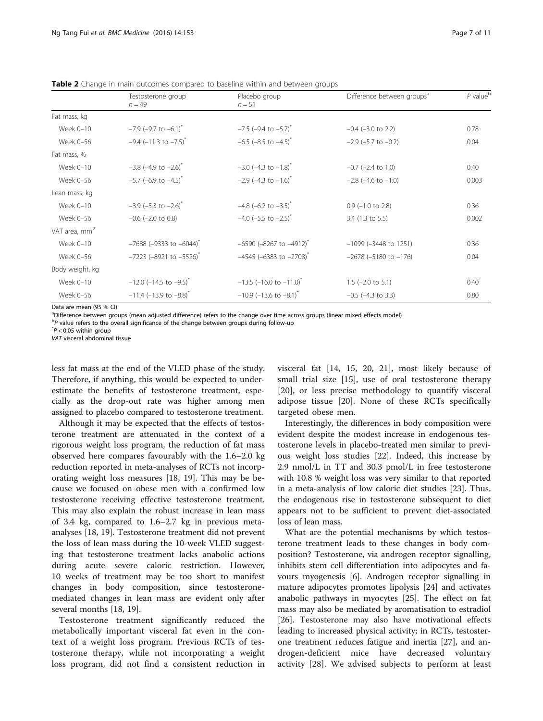<span id="page-6-0"></span>Table 2 Change in main outcomes compared to baseline within and between groups

| Fat mass, kg<br>$-7.9$ (-9.7 to $-6.1$ ) <sup>*</sup><br>$-7.5$ (-9.4 to $-5.7$ ) <sup>*</sup><br>Week 0-10<br>$-0.4$ ( $-3.0$ to 2.2)<br>$-9.4$ (-11.3 to $-7.5$ ) <sup>*</sup><br>$-6.5$ (-8.5 to $-4.5$ ) <sup>*</sup><br>Week 0-56<br>$-2.9$ ( $-5.7$ to $-0.2$ )<br>Fat mass, %<br>$-3.8$ (-4.9 to $-2.6$ ) <sup>*</sup><br>$-3.0$ (-4.3 to $-1.8$ ) <sup>*</sup><br>Week 0-10<br>$-0.7$ ( $-2.4$ to 1.0)<br>$-5.7$ (-6.9 to $-4.5$ ) <sup>*</sup><br>$-2.9$ (-4.3 to $-1.6$ ) <sup>*</sup><br>Week 0-56<br>$-2.8$ ( $-4.6$ to $-1.0$ ) | $P$ value $b$ |
|----------------------------------------------------------------------------------------------------------------------------------------------------------------------------------------------------------------------------------------------------------------------------------------------------------------------------------------------------------------------------------------------------------------------------------------------------------------------------------------------------------------------------------------------|---------------|
|                                                                                                                                                                                                                                                                                                                                                                                                                                                                                                                                              |               |
|                                                                                                                                                                                                                                                                                                                                                                                                                                                                                                                                              | 0.78          |
|                                                                                                                                                                                                                                                                                                                                                                                                                                                                                                                                              | 0.04          |
|                                                                                                                                                                                                                                                                                                                                                                                                                                                                                                                                              |               |
|                                                                                                                                                                                                                                                                                                                                                                                                                                                                                                                                              | 0.40          |
|                                                                                                                                                                                                                                                                                                                                                                                                                                                                                                                                              | 0.003         |
| Lean mass, kg                                                                                                                                                                                                                                                                                                                                                                                                                                                                                                                                |               |
| $-3.9$ (-5.3 to $-2.6$ ) <sup>*</sup><br>$-4.8$ (-6.2 to $-3.5$ ) <sup>*</sup><br>Week 0-10<br>$0.9$ (-1.0 to 2.8)                                                                                                                                                                                                                                                                                                                                                                                                                           | 0.36          |
| $-4.0$ (-5.5 to $-2.5$ ) <sup>*</sup><br>Week 0-56<br>$-0.6$ ( $-2.0$ to 0.8)<br>$3.4$ (1.3 to 5.5)                                                                                                                                                                                                                                                                                                                                                                                                                                          | 0.002         |
| VAT area, mm <sup>2</sup>                                                                                                                                                                                                                                                                                                                                                                                                                                                                                                                    |               |
| $-7688$ (-9333 to -6044) <sup>*</sup><br>$-6590$ (-8267 to $-4912$ ) <sup>*</sup><br>Week 0-10<br>$-1099$ ( $-3448$ to 1251)                                                                                                                                                                                                                                                                                                                                                                                                                 | 0.36          |
| $-7223$ (-8921 to $-5526$ ) <sup>*</sup><br>$-4545$ (-6383 to -2708) <sup>*</sup><br>Week 0-56<br>$-2678$ ( $-5180$ to $-176$ )                                                                                                                                                                                                                                                                                                                                                                                                              | 0.04          |
| Body weight, kg                                                                                                                                                                                                                                                                                                                                                                                                                                                                                                                              |               |
| $-12.0$ (-14.5 to -9.5) <sup>*</sup><br>$-13.5$ (-16.0 to $-11.0$ ) <sup>*</sup><br>Week 0-10<br>$1.5$ (-2.0 to 5.1)                                                                                                                                                                                                                                                                                                                                                                                                                         | 0.40          |
| $-11.4$ (-13.9 to $-8.8$ ) <sup>*</sup><br>$-10.9$ (-13.6 to $-8.1$ ) <sup>*</sup><br>Week 0-56<br>$-0.5$ ( $-4.3$ to 3.3)                                                                                                                                                                                                                                                                                                                                                                                                                   | 0.80          |

Data are mean (95 % CI)

a Difference between groups (mean adjusted difference) refers to the change over time across groups (linear mixed effects model)

<sup>b</sup>P value refers to the overall significance of the change between groups during follow-up<br>\*P < 0.05 within group

 $\tau$ <sup> $\tau$ </sup> $P$  < 0.05 within group

VAT visceral abdominal tissue

less fat mass at the end of the VLED phase of the study. Therefore, if anything, this would be expected to underestimate the benefits of testosterone treatment, especially as the drop-out rate was higher among men assigned to placebo compared to testosterone treatment.

Although it may be expected that the effects of testosterone treatment are attenuated in the context of a rigorous weight loss program, the reduction of fat mass observed here compares favourably with the 1.6–2.0 kg reduction reported in meta-analyses of RCTs not incorporating weight loss measures [\[18](#page-9-0), [19](#page-9-0)]. This may be because we focused on obese men with a confirmed low testosterone receiving effective testosterone treatment. This may also explain the robust increase in lean mass of 3.4 kg, compared to 1.6–2.7 kg in previous metaanalyses [[18, 19](#page-9-0)]. Testosterone treatment did not prevent the loss of lean mass during the 10-week VLED suggesting that testosterone treatment lacks anabolic actions during acute severe caloric restriction. However, 10 weeks of treatment may be too short to manifest changes in body composition, since testosteronemediated changes in lean mass are evident only after several months [[18](#page-9-0), [19](#page-9-0)].

Testosterone treatment significantly reduced the metabolically important visceral fat even in the context of a weight loss program. Previous RCTs of testosterone therapy, while not incorporating a weight loss program, did not find a consistent reduction in visceral fat [[14, 15, 20, 21](#page-9-0)], most likely because of small trial size [[15\]](#page-9-0), use of oral testosterone therapy [[20\]](#page-9-0), or less precise methodology to quantify visceral adipose tissue [\[20](#page-9-0)]. None of these RCTs specifically targeted obese men.

Interestingly, the differences in body composition were evident despite the modest increase in endogenous testosterone levels in placebo-treated men similar to previous weight loss studies [\[22](#page-9-0)]. Indeed, this increase by 2.9 nmol/L in TT and 30.3 pmol/L in free testosterone with 10.8 % weight loss was very similar to that reported in a meta-analysis of low caloric diet studies [[23](#page-9-0)]. Thus, the endogenous rise in testosterone subsequent to diet appears not to be sufficient to prevent diet-associated loss of lean mass.

What are the potential mechanisms by which testosterone treatment leads to these changes in body composition? Testosterone, via androgen receptor signalling, inhibits stem cell differentiation into adipocytes and favours myogenesis [[6\]](#page-9-0). Androgen receptor signalling in mature adipocytes promotes lipolysis [\[24](#page-10-0)] and activates anabolic pathways in myocytes [[25](#page-10-0)]. The effect on fat mass may also be mediated by aromatisation to estradiol [[26\]](#page-10-0). Testosterone may also have motivational effects leading to increased physical activity; in RCTs, testosterone treatment reduces fatigue and inertia [[27\]](#page-10-0), and androgen-deficient mice have decreased voluntary activity [[28\]](#page-10-0). We advised subjects to perform at least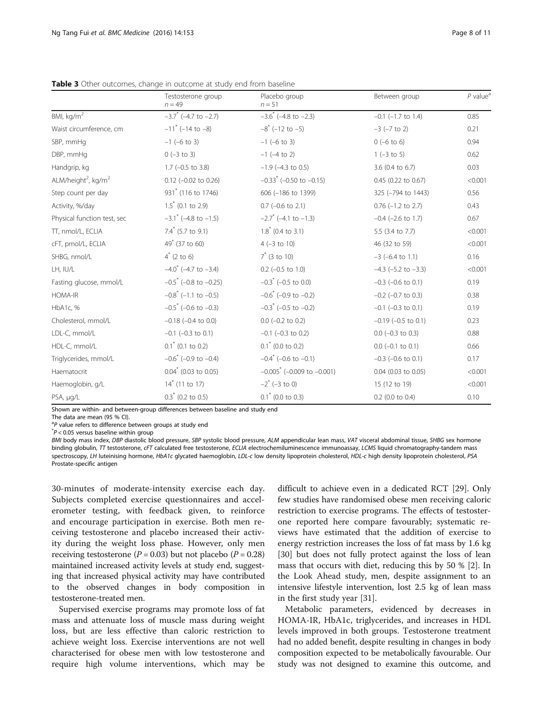|                                             | Testosterone group<br>$n = 49$        | Placebo group<br>$n = 51$                      | Between group               | $P$ value <sup>a</sup> |
|---------------------------------------------|---------------------------------------|------------------------------------------------|-----------------------------|------------------------|
| BMI, kg/m <sup>2</sup>                      | $-3.7$ * (-4.7 to $-2.7$ )            | $-3.6$ <sup>*</sup> (-4.8 to -2.3)             | $-0.1$ ( $-1.7$ to $1.4$ )  | 0.85                   |
| Waist circumference, cm                     | $-11^{*}$ (-14 to -8)                 | $-8$ <sup>*</sup> (-12 to -5)                  | $-3$ ( $-7$ to 2)           | 0.21                   |
| SBP, mmHg                                   | $-1$ (-6 to 3)                        | $-1$ (-6 to 3)                                 | $0 (-6 to 6)$               | 0.94                   |
| DBP, mmHg                                   | $0 (-3 to 3)$                         | $-1$ (-4 to 2)                                 | $1 (-3 to 5)$               | 0.62                   |
| Handgrip, kg                                | $1.7$ (-0.5 to 3.8)                   | $-1.9$ ( $-4.3$ to 0.5)                        | 3.6 (0.4 to 6.7)            | 0.03                   |
| ALM/height <sup>2</sup> , kg/m <sup>2</sup> | $0.12$ (-0.02 to 0.26)                | $-0.33$ <sup>*</sup> ( $-0.50$ to $-0.15$ )    | 0.45 (0.22 to 0.67)         | < 0.001                |
| Step count per day                          | 931 <sup>*</sup> (116 to 1746)        | 606 (-186 to 1399)                             | 325 (-794 to 1443)          | 0.56                   |
| Activity, %/day                             | $1.5^*$ (0.1 to 2.9)                  | $0.7$ (-0.6 to 2.1)                            | $0.76$ (-1.2 to 2.7)        | 0.43                   |
| Physical function test, sec                 | $-3.1$ (-4.8 to $-1.5$ )              | $-2.7$ * (-4.1 to $-1.3$ )                     | $-0.4$ ( $-2.6$ to 1.7)     | 0.67                   |
| TT, nmol/L, ECLIA                           | $7.4$ (5.7 to 9.1)                    | $1.8^*$ (0.4 to 3.1)                           | 5.5 (3.4 to 7.7)            | < 0.001                |
| cFT, pmol/L, ECLIA                          | $49^{\circ}$ (37 to 60)               | $4 (-3 to 10)$                                 | 46 (32 to 59)               | < 0.001                |
| SHBG, nmol/L                                | $4^*$ (2 to 6)                        | $7^*$ (3 to 10)                                | $-3$ (-6.4 to 1.1)          | 0.16                   |
| LH, IU/L                                    | $-4.0$ ( $-4.7$ to $-3.4$ )           | $0.2$ (-0.5 to 1.0)                            | $-4.3$ ( $-5.2$ to $-3.3$ ) | < 0.001                |
| Fasting glucose, mmol/L                     | $-0.5$ ( $-0.8$ to $-0.25$ )          | $-0.3$ ( $-0.5$ to 0.0)                        | $-0.3$ ( $-0.6$ to 0.1)     | 0.19                   |
| <b>HOMA-IR</b>                              | $-0.8$ <sup>*</sup> (-1.1 to $-0.5$ ) | $-0.6$ <sup>*</sup> ( $-0.9$ to $-0.2$ )       | $-0.2$ ( $-0.7$ to 0.3)     | 0.38                   |
| HbA1c, %                                    | $-0.5$ * (-0.6 to -0.3)               | $-0.3$ <sup>*</sup> (-0.5 to -0.2)             | $-0.1$ ( $-0.3$ to 0.1)     | 0.19                   |
| Cholesterol, mmol/L                         | $-0.18$ ( $-0.4$ to 0.0)              | $0.0$ (-0.2 to 0.2)                            | $-0.19$ ( $-0.5$ to 0.1)    | 0.23                   |
| LDL-C, mmol/L                               | $-0.1$ ( $-0.3$ to 0.1)               | $-0.1$ ( $-0.3$ to 0.2)                        | $0.0$ (-0.3 to 0.3)         | 0.88                   |
| HDL-C, mmol/L                               | $0.1^*$ (0.1 to 0.2)                  | $0.1^*$ (0.0 to 0.2)                           | $0.0$ (-0.1 to 0.1)         | 0.66                   |
| Triglycerides, mmol/L                       | $-0.6$ ( $-0.9$ to $-0.4$ )           | $-0.4$ <sup>*</sup> ( $-0.6$ to $-0.1$ )       | $-0.3$ ( $-0.6$ to 0.1)     | 0.17                   |
| Haematocrit                                 | $0.04^*$ (0.03 to 0.05)               | $-0.005$ <sup>*</sup> ( $-0.009$ to $-0.001$ ) | $0.04$ (0.03 to 0.05)       | < 0.001                |
| Haemoglobin, g/L                            | $14^*$ (11 to 17)                     | $-2$ <sup>*</sup> (-3 to 0)                    | 15 (12 to 19)               | < 0.001                |
| PSA, µg/L                                   | $0.3^*$ (0.2 to 0.5)                  | $0.1^*$ (0.0 to 0.3)                           | $0.2$ (0.0 to 0.4)          | 0.10                   |

<span id="page-7-0"></span>Table 3 Other outcomes, change in outcome at study end from baseline

Shown are within- and between-group differences between baseline and study end

The data are mean (95 % CI).

<sup>a</sup>P value refers to difference between groups at study end<br>\*P < 0.05 versus baseline within group

 $P$  < 0.05 versus baseline within group

BMI body mass index, DBP diastolic blood pressure, SBP systolic blood pressure, ALM appendicular lean mass, VAT visceral abdominal tissue, SHBG sex hormone binding globulin, TT testosterone, cFT calculated free testosterone, ECLIA electrochemiluminescence immunoassay, LCMS liquid chromatography-tandem mass spectroscopy, LH luteinising hormone, HbA1c glycated haemoglobin, LDL-c low density lipoprotein cholesterol, HDL-c high density lipoprotein cholesterol, PSA Prostate-specific antigen

30-minutes of moderate-intensity exercise each day. Subjects completed exercise questionnaires and accelerometer testing, with feedback given, to reinforce and encourage participation in exercise. Both men receiving testosterone and placebo increased their activity during the weight loss phase. However, only men receiving testosterone ( $P = 0.03$ ) but not placebo ( $P = 0.28$ ) maintained increased activity levels at study end, suggesting that increased physical activity may have contributed to the observed changes in body composition in testosterone-treated men.

Supervised exercise programs may promote loss of fat mass and attenuate loss of muscle mass during weight loss, but are less effective than caloric restriction to achieve weight loss. Exercise interventions are not well characterised for obese men with low testosterone and require high volume interventions, which may be

difficult to achieve even in a dedicated RCT [\[29](#page-10-0)]. Only few studies have randomised obese men receiving caloric restriction to exercise programs. The effects of testosterone reported here compare favourably; systematic reviews have estimated that the addition of exercise to energy restriction increases the loss of fat mass by 1.6 kg [[30\]](#page-10-0) but does not fully protect against the loss of lean mass that occurs with diet, reducing this by 50 % [\[2](#page-9-0)]. In the Look Ahead study, men, despite assignment to an intensive lifestyle intervention, lost 2.5 kg of lean mass in the first study year [\[31](#page-10-0)].

Metabolic parameters, evidenced by decreases in HOMA-IR, HbA1c, triglycerides, and increases in HDL levels improved in both groups. Testosterone treatment had no added benefit, despite resulting in changes in body composition expected to be metabolically favourable. Our study was not designed to examine this outcome, and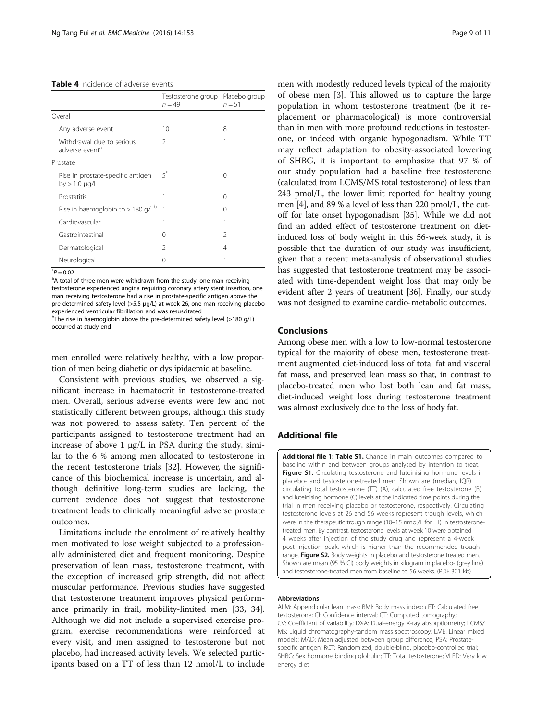<span id="page-8-0"></span>

|                                                         | Testosterone group<br>$n = 49$ | Placebo group<br>$n = 51$ |
|---------------------------------------------------------|--------------------------------|---------------------------|
| Overall                                                 |                                |                           |
| Any adverse event                                       | 10                             | 8                         |
| Withdrawal due to serious<br>adverse event <sup>a</sup> | $\mathcal{P}$                  |                           |
| Prostate                                                |                                |                           |
| Rise in prostate-specific antigen<br>by $> 1.0 \mu q/L$ | $5^*$                          | 0                         |
| Prostatitis                                             | 1                              | 0                         |
| Rise in haemoglobin to > 180 g/ $L^b$                   | 1                              | $\left( \right)$          |
| Cardiovascular                                          | 1                              |                           |
| Gastrointestinal                                        | 0                              | $\mathcal{P}$             |
| Dermatological                                          | $\mathcal{P}$                  | 4                         |
| Neurological                                            | $^{(1)}$                       |                           |

 $P = 0.02$ 

<sup>a</sup>A total of three men were withdrawn from the study: one man receiving testosterone experienced angina requiring coronary artery stent insertion, one man receiving testosterone had a rise in prostate-specific antigen above the pre-determined safety level (>5.5 μg/L) at week 26, one man receiving placebo experienced ventricular fibrillation and was resuscitated

<sup>b</sup>The rise in haemoglobin above the pre-determined safety level (>180 g/L) occurred at study end

men enrolled were relatively healthy, with a low proportion of men being diabetic or dyslipidaemic at baseline.

Consistent with previous studies, we observed a significant increase in haematocrit in testosterone-treated men. Overall, serious adverse events were few and not statistically different between groups, although this study was not powered to assess safety. Ten percent of the participants assigned to testosterone treatment had an increase of above  $1 \mu g/L$  in PSA during the study, similar to the 6 % among men allocated to testosterone in the recent testosterone trials [\[32](#page-10-0)]. However, the significance of this biochemical increase is uncertain, and although definitive long-term studies are lacking, the current evidence does not suggest that testosterone treatment leads to clinically meaningful adverse prostate outcomes.

Limitations include the enrolment of relatively healthy men motivated to lose weight subjected to a professionally administered diet and frequent monitoring. Despite preservation of lean mass, testosterone treatment, with the exception of increased grip strength, did not affect muscular performance. Previous studies have suggested that testosterone treatment improves physical performance primarily in frail, mobility-limited men [\[33, 34](#page-10-0)]. Although we did not include a supervised exercise program, exercise recommendations were reinforced at every visit, and men assigned to testosterone but not placebo, had increased activity levels. We selected participants based on a TT of less than 12 nmol/L to include

men with modestly reduced levels typical of the majority of obese men [\[3](#page-9-0)]. This allowed us to capture the large population in whom testosterone treatment (be it replacement or pharmacological) is more controversial than in men with more profound reductions in testosterone, or indeed with organic hypogonadism. While TT may reflect adaptation to obesity-associated lowering of SHBG, it is important to emphasize that 97 % of our study population had a baseline free testosterone (calculated from LCMS/MS total testosterone) of less than 243 pmol/L, the lower limit reported for healthy young men [\[4](#page-9-0)], and 89 % a level of less than 220 pmol/L, the cutoff for late onset hypogonadism [\[35\]](#page-10-0). While we did not find an added effect of testosterone treatment on dietinduced loss of body weight in this 56-week study, it is possible that the duration of our study was insufficient, given that a recent meta-analysis of observational studies has suggested that testosterone treatment may be associated with time-dependent weight loss that may only be evident after 2 years of treatment [\[36\]](#page-10-0). Finally, our study was not designed to examine cardio-metabolic outcomes.

# Conclusions

Among obese men with a low to low-normal testosterone typical for the majority of obese men, testosterone treatment augmented diet-induced loss of total fat and visceral fat mass, and preserved lean mass so that, in contrast to placebo-treated men who lost both lean and fat mass, diet-induced weight loss during testosterone treatment was almost exclusively due to the loss of body fat.

# Additional file

[Additional file 1: Table S1.](dx.doi.org/10.1186/s12916-016-0700-9) Change in main outcomes compared to baseline within and between groups analysed by intention to treat. Figure S1. Circulating testosterone and luteinising hormone levels in placebo- and testosterone-treated men. Shown are (median, IQR) circulating total testosterone (TT) (A), calculated free testosterone (B) and luteinising hormone (C) levels at the indicated time points during the trial in men receiving placebo or testosterone, respectively. Circulating testosterone levels at 26 and 56 weeks represent trough levels, which were in the therapeutic trough range (10–15 nmol/L for TT) in testosteronetreated men. By contrast, testosterone levels at week 10 were obtained 4 weeks after injection of the study drug and represent a 4-week post injection peak, which is higher than the recommended trough range. Figure S2. Body weights in placebo and testosterone treated men. Shown are mean (95 % CI) body weights in kilogram in placebo- (grey line) and testosterone-treated men from baseline to 56 weeks. (PDF 321 kb)

#### Abbreviations

ALM: Appendicular lean mass; BMI: Body mass index; cFT: Calculated free testosterone; CI: Confidence interval; CT: Computed tomography; CV: Coefficient of variability; DXA: Dual-energy X-ray absorptiometry; LCMS/ MS: Liquid chromatography-tandem mass spectroscopy; LME: Linear mixed models; MAD: Mean adjusted between group difference; PSA: Prostatespecific antigen; RCT: Randomized, double-blind, placebo-controlled trial; SHBG: Sex hormone binding globulin; TT: Total testosterone; VLED: Very low energy diet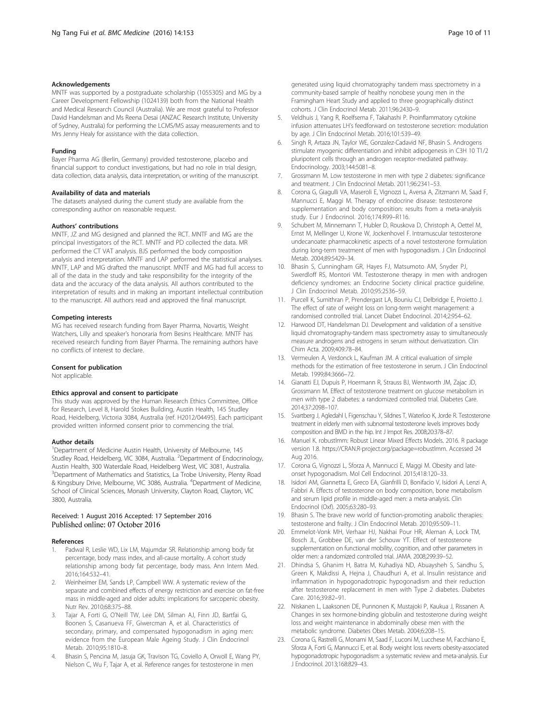#### <span id="page-9-0"></span>Acknowledgements

MNTF was supported by a postgraduate scholarship (1055305) and MG by a Career Development Fellowship (1024139) both from the National Health and Medical Research Council (Australia). We are most grateful to Professor David Handelsman and Ms Reena Desai (ANZAC Research Institute, University of Sydney, Australia) for performing the LCMS/MS assay measurements and to Mrs Jenny Healy for assistance with the data collection.

#### Funding

Bayer Pharma AG (Berlin, Germany) provided testosterone, placebo and financial support to conduct investigations, but had no role in trial design, data collection, data analysis, data interpretation, or writing of the manuscript.

#### Availability of data and materials

The datasets analysed during the current study are available from the corresponding author on reasonable request.

#### Authors' contributions

MNTF, JZ and MG designed and planned the RCT. MNTF and MG are the principal investigators of the RCT. MNTF and PD collected the data. MR performed the CT VAT analysis. BJS performed the body composition analysis and interpretation. MNTF and LAP performed the statistical analyses. MNTF, LAP and MG drafted the manuscript. MNTF and MG had full access to all of the data in the study and take responsibility for the integrity of the data and the accuracy of the data analysis. All authors contributed to the interpretation of results and in making an important intellectual contribution to the manuscript. All authors read and approved the final manuscript.

#### Competing interests

MG has received research funding from Bayer Pharma, Novartis, Weight Watchers, Lilly and speaker's honoraria from Besins Healthcare. MNTF has received research funding from Bayer Pharma. The remaining authors have no conflicts of interest to declare.

#### Consent for publication

Not applicable.

#### Ethics approval and consent to participate

This study was approved by the Human Research Ethics Committee, Office for Research, Level 8, Harold Stokes Building, Austin Health, 145 Studley Road, Heidelberg, Victoria 3084, Australia (ref. H2012/04495). Each participant provided written informed consent prior to commencing the trial.

#### Author details

<sup>1</sup>Department of Medicine Austin Health, University of Melbourne, 145 Studley Road, Heidelberg, VIC 3084, Australia. <sup>2</sup>Department of Endocrinology, Austin Health, 300 Waterdale Road, Heidelberg West, VIC 3081, Australia. <sup>3</sup>Department of Mathematics and Statistics, La Trobe University, Plenty Road & Kingsbury Drive, Melbourne, VIC 3086, Australia. <sup>4</sup>Department of Medicine, School of Clinical Sciences, Monash University, Clayton Road, Clayton, VIC 3800, Australia.

## Received: 1 August 2016 Accepted: 17 September 2016 Published online: 07 October 2016

#### References

- 1. Padwal R, Leslie WD, Lix LM, Majumdar SR. Relationship among body fat percentage, body mass index, and all-cause mortality. A cohort study relationship among body fat percentage, body mass. Ann Intern Med. 2016;164:532–41.
- 2. Weinheimer EM, Sands LP, Campbell WW. A systematic review of the separate and combined effects of energy restriction and exercise on fat-free mass in middle-aged and older adults: implications for sarcopenic obesity. Nutr Rev. 2010;68:375–88.
- 3. Tajar A, Forti G, O'Neill TW, Lee DM, Silman AJ, Finn JD, Bartfai G, Boonen S, Casanueva FF, Giwercman A, et al. Characteristics of secondary, primary, and compensated hypogonadism in aging men: evidence from the European Male Ageing Study. J Clin Endocrinol Metab. 2010;95:1810–8.
- 4. Bhasin S, Pencina M, Jasuja GK, Travison TG, Coviello A, Orwoll E, Wang PY, Nielson C, Wu F, Tajar A, et al. Reference ranges for testosterone in men

generated using liquid chromatography tandem mass spectrometry in a community-based sample of healthy nonobese young men in the Framingham Heart Study and applied to three geographically distinct cohorts. J Clin Endocrinol Metab. 2011;96:2430–9.

- 5. Veldhuis J, Yang R, Roelfsema F, Takahashi P. Proinflammatory cytokine infusion attenuates LH's feedforward on testosterone secretion: modulation by age. J Clin Endocrinol Metab. 2016;101:539–49.
- Singh R, Artaza JN, Taylor WE, Gonzalez-Cadavid NF, Bhasin S. Androgens stimulate myogenic differentiation and inhibit adipogenesis in C3H 10 T1/2 pluripotent cells through an androgen receptor-mediated pathway. Endocrinology. 2003;144:5081–8.
- 7. Grossmann M. Low testosterone in men with type 2 diabetes: significance and treatment. J Clin Endocrinol Metab. 2011;96:2341–53.
- 8. Corona G, Giagulli VA, Maseroli E, Vignozzi L, Aversa A, Zitzmann M, Saad F, Mannucci E, Maggi M. Therapy of endocrine disease: testosterone supplementation and body composition: results from a meta-analysis study. Eur J Endocrinol. 2016;174:R99–R116.
- 9. Schubert M, Minnemann T, Hubler D, Rouskova D, Christoph A, Oettel M, Ernst M, Mellinger U, Krone W, Jockenhovel F. Intramuscular testosterone undecanoate: pharmacokinetic aspects of a novel testosterone formulation during long-term treatment of men with hypogonadism. J Clin Endocrinol Metab. 2004;89:5429–34.
- 10. Bhasin S, Cunningham GR, Hayes FJ, Matsumoto AM, Snyder PJ, Swerdloff RS, Montori VM. Testosterone therapy in men with androgen deficiency syndromes: an Endocrine Society clinical practice guideline. J Clin Endocrinol Metab. 2010;95:2536–59.
- 11. Purcell K, Sumithran P, Prendergast LA, Bouniu CJ, Delbridge E, Proietto J. The effect of rate of weight loss on long-term weight management: a randomised controlled trial. Lancet Diabet Endocrinol. 2014;2:954–62.
- 12. Harwood DT, Handelsman DJ. Development and validation of a sensitive liquid chromatography-tandem mass spectrometry assay to simultaneously measure androgens and estrogens in serum without derivatization. Clin Chim Acta. 2009;409:78–84.
- 13. Vermeulen A, Verdonck L, Kaufman JM. A critical evaluation of simple methods for the estimation of free testosterone in serum. J Clin Endocrinol Metab. 1999;84:3666–72.
- 14. Gianatti EJ, Dupuis P, Hoermann R, Strauss BJ, Wentworth JM, Zajac JD, Grossmann M. Effect of testosterone treatment on glucose metabolism in men with type 2 diabetes: a randomized controlled trial. Diabetes Care. 2014;37:2098–107.
- 15. Svartberg J, Agledahl I, Figenschau Y, Sildnes T, Waterloo K, Jorde R. Testosterone treatment in elderly men with subnormal testosterone levels improves body composition and BMD in the hip. Int J Impot Res. 2008;20:378–87.
- 16. Manuel K. robustlmm: Robust Linear Mixed Effects Models. 2016. R package version 1.8. [https://CRAN.R-project.org/package=robustlmm](https://cran.r-project.org/package=robustlmm). Accessed 24 Aug 2016.
- 17. Corona G, Vignozzi L, Sforza A, Mannucci E, Maggi M. Obesity and lateonset hypogonadism. Mol Cell Endocrinol. 2015;418:120–33.
- 18. Isidori AM, Giannetta E, Greco EA, Gianfrilli D, Bonifacio V, Isidori A, Lenzi A, Fabbri A. Effects of testosterone on body composition, bone metabolism and serum lipid profile in middle-aged men: a meta-analysis. Clin Endocrinol (Oxf). 2005;63:280–93.
- 19. Bhasin S. The brave new world of function-promoting anabolic therapies: testosterone and frailty. J Clin Endocrinol Metab. 2010;95:509–11.
- 20. Emmelot-Vonk MH, Verhaar HJ, Nakhai Pour HR, Aleman A, Lock TM, Bosch JL, Grobbee DE, van der Schouw YT. Effect of testosterone supplementation on functional mobility, cognition, and other parameters in older men: a randomized controlled trial. JAMA. 2008;299:39–52.
- 21. Dhindsa S, Ghanim H, Batra M, Kuhadiya ND, Abuaysheh S, Sandhu S, Green K, Makdissi A, Hejna J, Chaudhuri A, et al. Insulin resistance and inflammation in hypogonadotropic hypogonadism and their reduction after testosterone replacement in men with Type 2 diabetes. Diabetes Care. 2016;39:82–91.
- 22. Niskanen L, Laaksonen DE, Punnonen K, Mustajoki P, Kaukua J, Rissanen A. Changes in sex hormone-binding globulin and testosterone during weight loss and weight maintenance in abdominally obese men with the metabolic syndrome. Diabetes Obes Metab. 2004;6:208–15.
- 23. Corona G, Rastrelli G, Monami M, Saad F, Luconi M, Lucchese M, Facchiano E, Sforza A, Forti G, Mannucci E, et al. Body weight loss reverts obesity-associated hypogonadotropic hypogonadism: a systematic review and meta-analysis. Eur J Endocrinol. 2013;168:829–43.